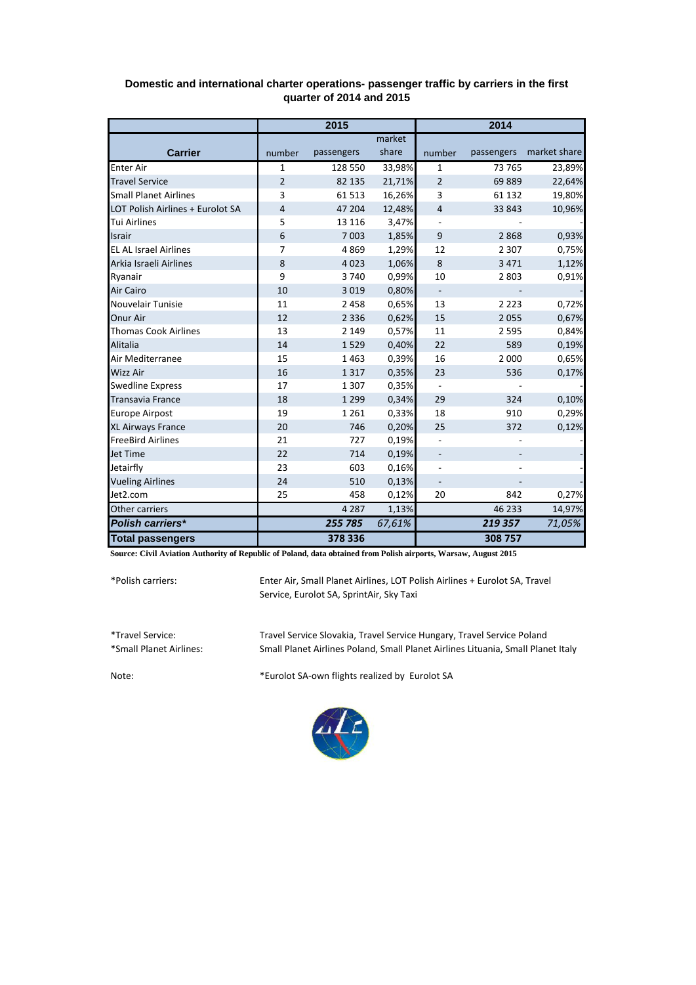|                                  | 2015           |            |        | 2014                     |            |              |
|----------------------------------|----------------|------------|--------|--------------------------|------------|--------------|
|                                  |                |            | market |                          |            |              |
| <b>Carrier</b>                   | number         | passengers | share  | number                   | passengers | market share |
| <b>Enter Air</b>                 | $\mathbf{1}$   | 128 550    | 33,98% | 1                        | 73 765     | 23,89%       |
| <b>Travel Service</b>            | $\overline{2}$ | 82 135     | 21,71% | $\overline{2}$           | 69889      | 22,64%       |
| <b>Small Planet Airlines</b>     | $\overline{3}$ | 61513      | 16,26% | 3                        | 61 132     | 19,80%       |
| LOT Polish Airlines + Eurolot SA | 4              | 47 204     | 12,48% | $\overline{4}$           | 33 843     | 10,96%       |
| <b>Tui Airlines</b>              | 5              | 13 1 16    | 3,47%  |                          |            |              |
| <b>Israir</b>                    | 6              | 7003       | 1,85%  | 9                        | 2868       | 0,93%        |
| <b>EL AL Israel Airlines</b>     | 7              | 4869       | 1,29%  | 12                       | 2 3 0 7    | 0,75%        |
| Arkia Israeli Airlines           | 8              | 4023       | 1,06%  | 8                        | 3 4 7 1    | 1,12%        |
| Ryanair                          | 9              | 3740       | 0,99%  | 10                       | 2 8 0 3    | 0,91%        |
| <b>Air Cairo</b>                 | 10             | 3 0 1 9    | 0,80%  | $\overline{\phantom{a}}$ |            |              |
| Nouvelair Tunisie                | 11             | 2 4 5 8    | 0,65%  | 13                       | 2 2 2 3    | 0,72%        |
| Onur Air                         | 12             | 2 3 3 6    | 0,62%  | 15                       | 2055       | 0,67%        |
| <b>Thomas Cook Airlines</b>      | 13             | 2 1 4 9    | 0,57%  | 11                       | 2 5 9 5    | 0,84%        |
| Alitalia                         | 14             | 1529       | 0,40%  | 22                       | 589        | 0,19%        |
| Air Mediterranee                 | 15             | 1463       | 0,39%  | 16                       | 2 0 0 0    | 0,65%        |
| <b>Wizz Air</b>                  | 16             | 1317       | 0,35%  | 23                       | 536        | 0,17%        |
| <b>Swedline Express</b>          | 17             | 1 3 0 7    | 0,35%  |                          |            |              |
| <b>Transavia France</b>          | 18             | 1 2 9 9    | 0,34%  | 29                       | 324        | 0,10%        |
| <b>Europe Airpost</b>            | 19             | 1 2 6 1    | 0,33%  | 18                       | 910        | 0,29%        |
| XL Airways France                | 20             | 746        | 0,20%  | 25                       | 372        | 0,12%        |
| <b>FreeBird Airlines</b>         | 21             | 727        | 0,19%  |                          |            |              |
| Jet Time                         | 22             | 714        | 0,19%  |                          |            |              |
| Jetairfly                        | 23             | 603        | 0,16%  |                          |            |              |
| <b>Vueling Airlines</b>          | 24             | 510        | 0,13%  | $\overline{\phantom{m}}$ |            |              |
| Jet2.com                         | 25             | 458        | 0,12%  | 20                       | 842        | 0,27%        |
| Other carriers                   |                | 4 2 8 7    | 1,13%  |                          | 46 233     | 14,97%       |
| Polish carriers*                 |                | 255 785    | 67,61% |                          | 219357     | 71,05%       |
| <b>Total passengers</b>          |                | 378 336    |        |                          | 308 757    |              |

## **Domestic and international charter operations- passenger traffic by carriers in the first quarter of 2014 and 2015**

**Source: Civil Aviation Authority of Republic of Poland, data obtained from Polish airports, Warsaw, August 2015**

\*Polish carriers:

Enter Air, Small Planet Airlines, LOT Polish Airlines + Eurolot SA, Travel Service, Eurolot SA, SprintAir, Sky Taxi

\*Travel Service: Travel Service Slovakia, Travel Service Hungary, Travel Service Poland Small Planet Airlines Poland, Small Planet Airlines Lituania, Small Planet Italy

Note: \*Eurolot SA-own flights realized by Eurolot SA